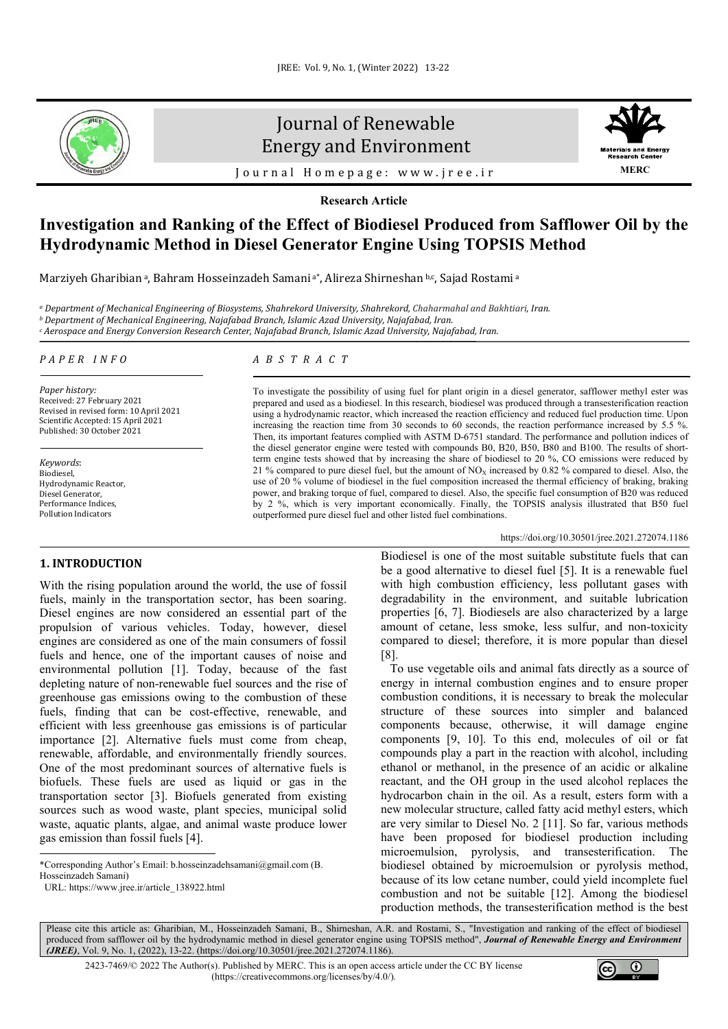

# Journal of Renewable Energy and Environment



Journal Homepage: [www.jree.ir](http://www.jree.ir/)

**Research Article**

## **Investigation and Ranking of the Effect of Biodiesel Produced from Safflower Oil by the Hydrodynamic Method in Diesel Generator Engine Using TOPSIS Method**

Marziyeh Gharibian<sup>a</sup>, Bahram Hosseinzadeh Samani<sup>a\*</sup>, Alireza Shirneshan b,c, Sajad Rostami<sup>a</sup>

*<sup>a</sup> Department of Mechanical Engineering of Biosystems, Shahrekord University, Shahrekord, Chaharmahal and Bakhtiari, Iran. <sup>b</sup> Department of Mechanical Engineering, Najafabad Branch, Islamic Azad University, Najafabad, Iran. <sup>c</sup> Aerospace and Energy Conversion Research Center, Najafabad Branch, Islamic Azad University, Najafabad, Iran.*

#### *PAPER INFO*

*Paper history:* Received: 27 February 2021 Revised in revised form: 10 April 2021 Scientific Accepted: 15 April 2021 Published: 30 October 2021

*Keywords*: Biodiesel, Hydrodynamic Reactor, Diesel Generator, Performance Indices, Pollution Indicators

## **1. INTRODUCTION[1](#page-0-0)**

With the rising population around the world, the use of fossil fuels, mainly in the transportation sector, has been soaring. Diesel engines are now considered an essential part of the propulsion of various vehicles. Today, however, diesel engines are considered as one of the main consumers of fossil fuels and hence, one of the important causes of noise and environmental pollution [1]. Today, because of the fast depleting nature of non-renewable fuel sources and the rise of greenhouse gas emissions owing to the combustion of these fuels, finding that can be cost-effective, renewable, and efficient with less greenhouse gas emissions is of particular importance [2]. Alternative fuels must come from cheap, renewable, affordable, and environmentally friendly sources. One of the most predominant sources of alternative fuels is biofuels. These fuels are used as liquid or gas in the transportation sector [3]. Biofuels generated from existing sources such as wood waste, plant species, municipal solid waste, aquatic plants, algae, and animal waste produce lower gas emission than fossil fuels [4].

<span id="page-0-0"></span>\*Corresponding Author's Email[: b.hosseinzadehsamani@gmail.com](mailto:b.hosseinzadehsamani@gmail.com) (B.

Hosseinzadeh Samani)

URL[: https://www.jree.ir/article\\_138922.html](https://www.jree.ir/article_138922.html)

## *ABSTRACT*

To investigate the possibility of using fuel for plant origin in a diesel generator, safflower methyl ester was prepared and used as a biodiesel. In this research, biodiesel was produced through a transesterification reaction using a hydrodynamic reactor, which increased the reaction efficiency and reduced fuel production time. Upon increasing the reaction time from 30 seconds to 60 seconds, the reaction performance increased by 5.5 %. Then, its important features complied with ASTM D-6751 standard. The performance and pollution indices of the diesel generator engine were tested with compounds B0, B20, B50, B80 and B100. The results of shortterm engine tests showed that by increasing the share of biodiesel to 20 %, CO emissions were reduced by 21 % compared to pure diesel fuel, but the amount of  $NO<sub>x</sub>$  increased by 0.82 % compared to diesel. Also, the use of 20 % volume of biodiesel in the fuel composition increased the thermal efficiency of braking, braking power, and braking torque of fuel, compared to diesel. Also, the specific fuel consumption of B20 was reduced by 2 %, which is very important economically. Finally, the TOPSIS analysis illustrated that B50 fuel outperformed pure diesel fuel and other listed fuel combinations.

#### <https://doi.org/10.30501/jree.2021.272074.1186>

Biodiesel is one of the most suitable substitute fuels that can be a good alternative to diesel fuel [5]. It is a renewable fuel with high combustion efficiency, less pollutant gases with degradability in the environment, and suitable lubrication properties [6, 7]. Biodiesels are also characterized by a large amount of cetane, less smoke, less sulfur, and non-toxicity compared to diesel; therefore, it is more popular than diesel [8].

 To use vegetable oils and animal fats directly as a source of energy in internal combustion engines and to ensure proper combustion conditions, it is necessary to break the molecular structure of these sources into simpler and balanced components because, otherwise, it will damage engine components [9, 10]. To this end, molecules of oil or fat compounds play a part in the reaction with alcohol, including ethanol or methanol, in the presence of an acidic or alkaline reactant, and the OH group in the used alcohol replaces the hydrocarbon chain in the oil. As a result, esters form with a new molecular structure, called fatty acid methyl esters, which are very similar to Diesel No. 2 [11]. So far, various methods have been proposed for biodiesel production including microemulsion, pyrolysis, and transesterification. The biodiesel obtained by microemulsion or pyrolysis method, because of its low cetane number, could yield incomplete fuel combustion and not be suitable [12]. Among the biodiesel production methods, the transesterification method is the best

Please cite this article as: Gharibian, M., Hosseinzadeh Samani, B., Shirneshan, A.R. and Rostami, S., "Investigation and ranking of the effect of biodiesel produced from safflower oil by the hydrodynamic method in diesel generator engine using TOPSIS method", *Journal of Renewable Energy and Environment (JREE)*, Vol. 9, No. 1, (2022), 13-22. [\(https://doi.org/10.30501/jree.2021.272074.1186\).](https://doi.org/10.30501/jree.2021.272074.1186)

2423-7469/© 2022 The Author(s). Published by [MERC.](https://en.merc.ac.ir/) This is an open access article under the CC BY license [\(https://creativecommons.org/licenses/by/4.0/\)](https://creativecommons.org/licenses/by/4.0/).

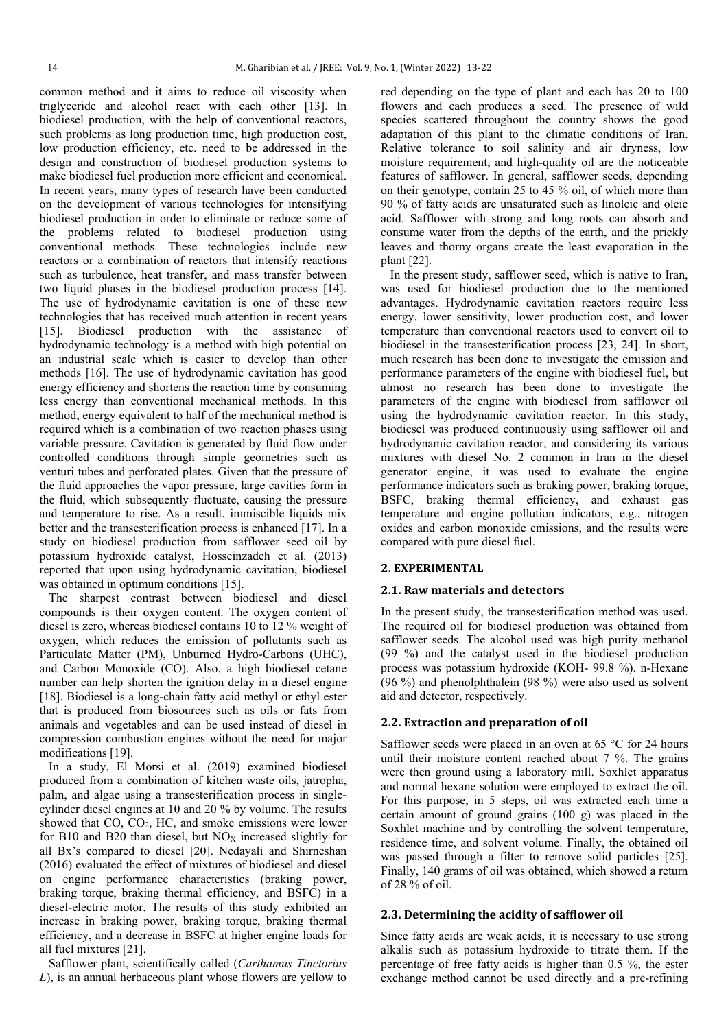common method and it aims to reduce oil viscosity when triglyceride and alcohol react with each other [13]. In biodiesel production, with the help of conventional reactors, such problems as long production time, high production cost, low production efficiency, etc. need to be addressed in the design and construction of biodiesel production systems to make biodiesel fuel production more efficient and economical. In recent years, many types of research have been conducted on the development of various technologies for intensifying biodiesel production in order to eliminate or reduce some of the problems related to biodiesel production using conventional methods. These technologies include new reactors or a combination of reactors that intensify reactions such as turbulence, heat transfer, and mass transfer between two liquid phases in the biodiesel production process [14]. The use of hydrodynamic cavitation is one of these new technologies that has received much attention in recent years [15]. Biodiesel production with the assistance of hydrodynamic technology is a method with high potential on an industrial scale which is easier to develop than other methods [16]. The use of hydrodynamic cavitation has good energy efficiency and shortens the reaction time by consuming less energy than conventional mechanical methods. In this method, energy equivalent to half of the mechanical method is required which is a combination of two reaction phases using variable pressure. Cavitation is generated by fluid flow under controlled conditions through simple geometries such as venturi tubes and perforated plates. Given that the pressure of the fluid approaches the vapor pressure, large cavities form in the fluid, which subsequently fluctuate, causing the pressure and temperature to rise. As a result, immiscible liquids mix better and the transesterification process is enhanced [17]. In a study on biodiesel production from safflower seed oil by potassium hydroxide catalyst, Hosseinzadeh et al. (2013) reported that upon using hydrodynamic cavitation, biodiesel was obtained in optimum conditions [15].

 The sharpest contrast between biodiesel and diesel compounds is their oxygen content. The oxygen content of diesel is zero, whereas biodiesel contains 10 to 12 % weight of oxygen, which reduces the emission of pollutants such as Particulate Matter (PM), Unburned Hydro-Carbons (UHC), and Carbon Monoxide (CO). Also, a high biodiesel cetane number can help shorten the ignition delay in a diesel engine [18]. Biodiesel is a long-chain fatty acid methyl or ethyl ester that is produced from biosources such as oils or fats from animals and vegetables and can be used instead of diesel in compression combustion engines without the need for major modifications [19].

 In a study, El Morsi et al. (2019) examined biodiesel produced from a combination of kitchen waste oils, jatropha, palm, and algae using a transesterification process in singlecylinder diesel engines at 10 and 20 % by volume. The results showed that CO, CO2, HC, and smoke emissions were lower for B10 and B20 than diesel, but  $NO<sub>x</sub>$  increased slightly for all Bx's compared to diesel [20]. Nedayali and Shirneshan (2016) evaluated the effect of mixtures of biodiesel and diesel on engine performance characteristics (braking power, braking torque, braking thermal efficiency, and BSFC) in a diesel-electric motor. The results of this study exhibited an increase in braking power, braking torque, braking thermal efficiency, and a decrease in BSFC at higher engine loads for all fuel mixtures [21].

 Safflower plant, scientifically called (*Carthamus Tinctorius L*), is an annual herbaceous plant whose flowers are yellow to red depending on the type of plant and each has 20 to 100 flowers and each produces a seed. The presence of wild species scattered throughout the country shows the good adaptation of this plant to the climatic conditions of Iran. Relative tolerance to soil salinity and air dryness, low moisture requirement, and high-quality oil are the noticeable features of safflower. In general, safflower seeds, depending on their genotype, contain 25 to 45 % oil, of which more than 90 % of fatty acids are unsaturated such as linoleic and oleic acid. Safflower with strong and long roots can absorb and consume water from the depths of the earth, and the prickly leaves and thorny organs create the least evaporation in the plant [22].

 In the present study, safflower seed, which is native to Iran, was used for biodiesel production due to the mentioned advantages. Hydrodynamic cavitation reactors require less energy, lower sensitivity, lower production cost, and lower temperature than conventional reactors used to convert oil to biodiesel in the transesterification process [23, 24]. In short, much research has been done to investigate the emission and performance parameters of the engine with biodiesel fuel, but almost no research has been done to investigate the parameters of the engine with biodiesel from safflower oil using the hydrodynamic cavitation reactor. In this study, biodiesel was produced continuously using safflower oil and hydrodynamic cavitation reactor, and considering its various mixtures with diesel No. 2 common in Iran in the diesel generator engine, it was used to evaluate the engine performance indicators such as braking power, braking torque, BSFC, braking thermal efficiency, and exhaust gas temperature and engine pollution indicators, e.g., nitrogen oxides and carbon monoxide emissions, and the results were compared with pure diesel fuel.

#### **2. EXPERIMENTAL**

#### **2.1. Raw materials and detectors**

In the present study, the transesterification method was used. The required oil for biodiesel production was obtained from safflower seeds. The alcohol used was high purity methanol (99 %) and the catalyst used in the biodiesel production process was potassium hydroxide (KOH- 99.8 %). n-Hexane (96 %) and phenolphthalein (98 %) were also used as solvent aid and detector, respectively.

## **2.2. Extraction and preparation of oil**

Safflower seeds were placed in an oven at 65 °C for 24 hours until their moisture content reached about 7 %. The grains were then ground using a laboratory mill. Soxhlet apparatus and normal hexane solution were employed to extract the oil. For this purpose, in 5 steps, oil was extracted each time a certain amount of ground grains (100 g) was placed in the Soxhlet machine and by controlling the solvent temperature, residence time, and solvent volume. Finally, the obtained oil was passed through a filter to remove solid particles [25]. Finally, 140 grams of oil was obtained, which showed a return of 28 % of oil.

## **2.3. Determining the acidity of safflower oil**

Since fatty acids are weak acids, it is necessary to use strong alkalis such as potassium hydroxide to titrate them. If the percentage of free fatty acids is higher than 0.5 %, the ester exchange method cannot be used directly and a pre-refining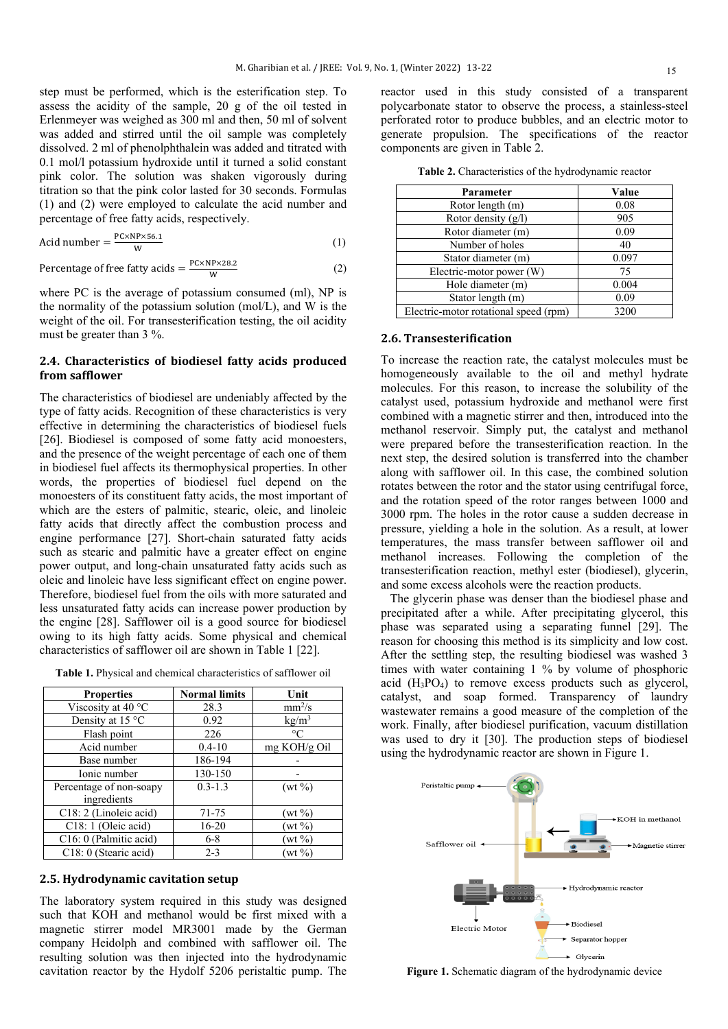step must be performed, which is the esterification step. To assess the acidity of the sample, 20 g of the oil tested in Erlenmeyer was weighed as 300 ml and then, 50 ml of solvent was added and stirred until the oil sample was completely dissolved. 2 ml of phenolphthalein was added and titrated with 0.1 mol/l potassium hydroxide until it turned a solid constant pink color. The solution was shaken vigorously during titration so that the pink color lasted for 30 seconds. Formulas (1) and (2) were employed to calculate the acid number and percentage of free fatty acids, respectively.

$$
Acid number = \frac{PC \times NP \times 56.1}{W}
$$
 (1)

Percentage of free fatty acids = 
$$
\frac{PC \times NP \times 28.2}{W}
$$
 (2)

where PC is the average of potassium consumed (ml), NP is the normality of the potassium solution (mol/L), and W is the weight of the oil. For transesterification testing, the oil acidity must be greater than 3 %.

## **2.4. Characteristics of biodiesel fatty acids produced from safflower**

The characteristics of biodiesel are undeniably affected by the type of fatty acids. Recognition of these characteristics is very effective in determining the characteristics of biodiesel fuels [26]. Biodiesel is composed of some fatty acid monoesters, and the presence of the weight percentage of each one of them in biodiesel fuel affects its thermophysical properties. In other words, the properties of biodiesel fuel depend on the monoesters of its constituent fatty acids, the most important of which are the esters of palmitic, stearic, oleic, and linoleic fatty acids that directly affect the combustion process and engine performance [27]. Short-chain saturated fatty acids such as stearic and palmitic have a greater effect on engine power output, and long-chain unsaturated fatty acids such as oleic and linoleic have less significant effect on engine power. Therefore, biodiesel fuel from the oils with more saturated and less unsaturated fatty acids can increase power production by the engine [28]. Safflower oil is a good source for biodiesel owing to its high fatty acids. Some physical and chemical characteristics of safflower oil are shown in Table 1 [22].

**Table 1.** Physical and chemical characteristics of safflower oil

| <b>Properties</b>       | <b>Normal limits</b> | Unit               |
|-------------------------|----------------------|--------------------|
| Viscosity at 40 °C      | 28.3                 | mm <sup>2</sup> /s |
| Density at 15 °C        | 0.92                 | kg/m <sup>3</sup>  |
| Flash point             | 226                  | $\circ$ C          |
| Acid number             | $0.4 - 10$           | mg KOH/g Oil       |
| Base number             | 186-194              |                    |
| Ionic number            | 130-150              |                    |
| Percentage of non-soapy | $0.3 - 1.3$          | $(wt\% )$          |
| ingredients             |                      |                    |
| C18: 2 (Linoleic acid)  | 71-75                | $(wt\% )$          |
| C18: 1 (Oleic acid)     | $16 - 20$            | $(wt\,\%)$         |
| C16: 0 (Palmitic acid)  | $6 - 8$              | $(wt \%)$          |
| C18: 0 (Stearic acid)   | $2 - 3$              | $(wt \%)$          |

#### **2.5. Hydrodynamic cavitation setup**

The laboratory system required in this study was designed such that KOH and methanol would be first mixed with a magnetic stirrer model MR3001 made by the German company Heidolph and combined with safflower oil. The resulting solution was then injected into the hydrodynamic cavitation reactor by the Hydolf 5206 peristaltic pump. The reactor used in this study consisted of a transparent polycarbonate stator to observe the process, a stainless-steel perforated rotor to produce bubbles, and an electric motor to generate propulsion. The specifications of the reactor components are given in Table 2.

| Parameter                             | Value |
|---------------------------------------|-------|
| Rotor length (m)                      | 0.08  |
| Rotor density $(g/l)$                 | 905   |
| Rotor diameter (m)                    | 0.09  |
| Number of holes                       | 40    |
| Stator diameter (m)                   | 0.097 |
| Electric-motor power (W)              | 75    |
| Hole diameter (m)                     | 0.004 |
| Stator length (m)                     | 0.09  |
| Electric-motor rotational speed (rpm) | 3200  |

**Table 2.** Characteristics of the hydrodynamic reactor

## **2.6. Transesterification**

To increase the reaction rate, the catalyst molecules must be homogeneously available to the oil and methyl hydrate molecules. For this reason, to increase the solubility of the catalyst used, potassium hydroxide and methanol were first combined with a magnetic stirrer and then, introduced into the methanol reservoir. Simply put, the catalyst and methanol were prepared before the transesterification reaction. In the next step, the desired solution is transferred into the chamber along with safflower oil. In this case, the combined solution rotates between the rotor and the stator using centrifugal force, and the rotation speed of the rotor ranges between 1000 and 3000 rpm. The holes in the rotor cause a sudden decrease in pressure, yielding a hole in the solution. As a result, at lower temperatures, the mass transfer between safflower oil and methanol increases. Following the completion of the transesterification reaction, methyl ester (biodiesel), glycerin, and some excess alcohols were the reaction products.

 The glycerin phase was denser than the biodiesel phase and precipitated after a while. After precipitating glycerol, this phase was separated using a separating funnel [29]. The reason for choosing this method is its simplicity and low cost. After the settling step, the resulting biodiesel was washed 3 times with water containing 1 % by volume of phosphoric acid (H3PO4) to remove excess products such as glycerol, catalyst, and soap formed. Transparency of laundry wastewater remains a good measure of the completion of the work. Finally, after biodiesel purification, vacuum distillation was used to dry it [30]. The production steps of biodiesel using the hydrodynamic reactor are shown in Figure 1.



**Figure 1.** Schematic diagram of the hydrodynamic device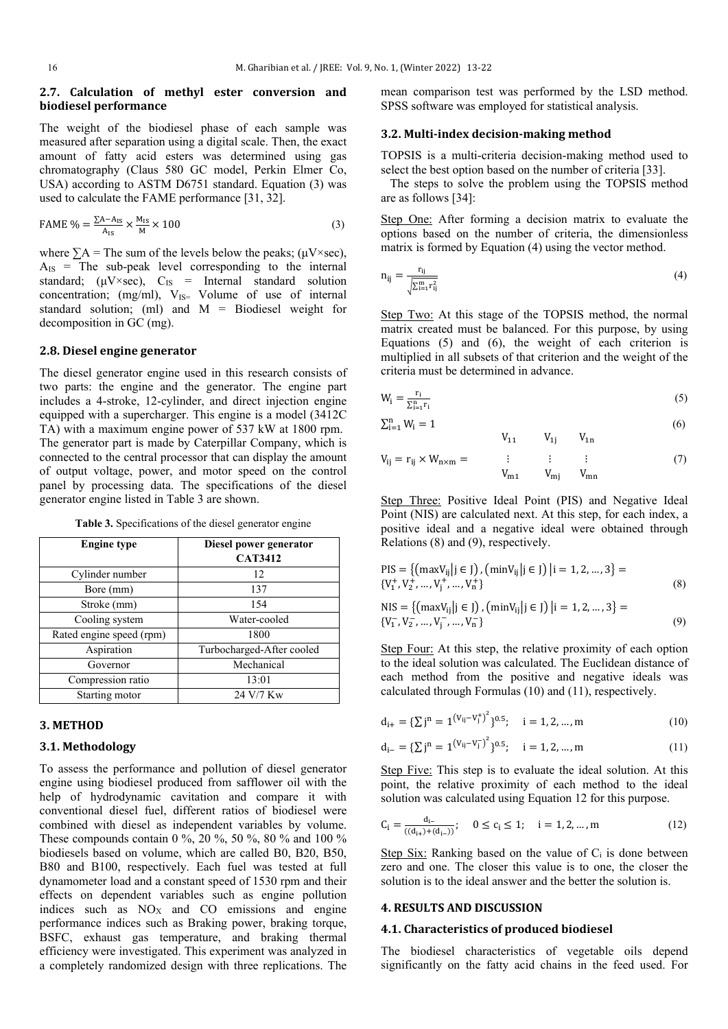## **2.7. Calculation of methyl ester conversion and biodiesel performance**

The weight of the biodiesel phase of each sample was measured after separation using a digital scale. Then, the exact amount of fatty acid esters was determined using gas chromatography (Claus 580 GC model, Perkin Elmer Co, USA) according to ASTM D6751 standard. Equation (3) was used to calculate the FAME performance [31, 32].

$$
\text{FAME } \% = \frac{\sum A - A_{IS}}{A_{IS}} \times \frac{M_{IS}}{M} \times 100 \tag{3}
$$

where  $\sum A$  = The sum of the levels below the peaks; ( $\mu$ V×sec),  $A_{IS}$  = The sub-peak level corresponding to the internal standard;  $(\mu V \times sec)$ ,  $C_{IS}$  = Internal standard solution concentration; (mg/ml),  $V_{IS}=$  Volume of use of internal standard solution; (ml) and M = Biodiesel weight for decomposition in GC (mg).

## **2.8. Diesel engine generator**

The diesel generator engine used in this research consists of two parts: the engine and the generator. The engine part includes a 4-stroke, 12-cylinder, and direct injection engine equipped with a supercharger. This engine is a model (3412C TA) with a maximum engine power of 537 kW at 1800 rpm. The generator part is made by Caterpillar Company, which is connected to the central processor that can display the amount of output voltage, power, and motor speed on the control panel by processing data. The specifications of the diesel generator engine listed in Table 3 are shown.

**Table 3.** Specifications of the diesel generator engine

| <b>Engine type</b>       | Diesel power generator<br><b>CAT3412</b> |
|--------------------------|------------------------------------------|
| Cylinder number          | 12                                       |
| Bore (mm)                | 137                                      |
| Stroke (mm)              | 154                                      |
| Cooling system           | Water-cooled                             |
| Rated engine speed (rpm) | 1800                                     |
| Aspiration               | Turbocharged-After cooled                |
| Governor                 | Mechanical                               |
| Compression ratio        | 13:01                                    |
| Starting motor           | 24 V/7 Kw                                |

#### **3. METHOD**

#### **3.1. Methodology**

To assess the performance and pollution of diesel generator engine using biodiesel produced from safflower oil with the help of hydrodynamic cavitation and compare it with conventional diesel fuel, different ratios of biodiesel were combined with diesel as independent variables by volume. These compounds contain 0 %, 20 %, 50 %, 80 % and 100 % biodiesels based on volume, which are called B0, B20, B50, B80 and B100, respectively. Each fuel was tested at full dynamometer load and a constant speed of 1530 rpm and their effects on dependent variables such as engine pollution indices such as  $NO<sub>X</sub>$  and  $CO$  emissions and engine performance indices such as Braking power, braking torque, BSFC, exhaust gas temperature, and braking thermal efficiency were investigated. This experiment was analyzed in a completely randomized design with three replications. The mean comparison test was performed by the LSD method. SPSS software was employed for statistical analysis.

## **3.2. Multi-index decision-making method**

TOPSIS is a multi-criteria decision-making method used to select the best option based on the number of criteria [33].

 The steps to solve the problem using the TOPSIS method are as follows [34]:

Step One: After forming a decision matrix to evaluate the options based on the number of criteria, the dimensionless matrix is formed by Equation (4) using the vector method.

$$
n_{ij} = \frac{r_{ij}}{\sqrt{\sum_{i=1}^{m} r_{ij}^2}}
$$
\n
$$
(4)
$$

Step Two: At this stage of the TOPSIS method, the normal matrix created must be balanced. For this purpose, by using Equations (5) and (6), the weight of each criterion is multiplied in all subsets of that criterion and the weight of the criteria must be determined in advance.

$$
W_i = \frac{r_i}{\sum_{i=1}^{n} r_i} \tag{5}
$$

$$
\sum_{i=1}^{n} W_i = 1 \tag{6}
$$

 V<sup>11</sup> V1j V1n Vij = rij × Wn×<sup>m</sup> = ⋮ ⋮ ⋮ (7) Vm1 Vmj Vmn

Step Three: Positive Ideal Point (PIS) and Negative Ideal Point (NIS) are calculated next. At this step, for each index, a positive ideal and a negative ideal were obtained through Relations  $(8)$  and  $(9)$ , respectively.

$$
\text{PIS} = \{ (\max V_{ij} | j \in J) , (\min V_{ij} | j \in J) | i = 1, 2, ..., 3 \} = \{ V_1^+, V_2^+, ..., V_j^+, ..., V_n^+ \}
$$
\n
$$
\text{(8)}
$$

NIS = {
$$
\{maxV_{ij} | j \in J\}
$$
,  $\{minV_{ij} | j \in J\}$  |  $i = 1, 2, ..., 3\}$  =  $\{V_1^-, V_2^-, ..., V_j^-, ..., V_n^-\}$  (9)

Step Four: At this step, the relative proximity of each option to the ideal solution was calculated. The Euclidean distance of each method from the positive and negative ideals was calculated through Formulas (10) and (11), respectively.

$$
d_{i+} = {\sum j^{n} = 1^{(V_{ij} - V_j^{+})^{2}}}_{0.5}; \quad i = 1, 2, ..., m
$$
 (10)

$$
d_{i-} = {\sum j^{n} = 1}^{\left(V_{ij} - V_{j}^{-}\right)^{2}}\right)^{0.5}; \quad i = 1, 2, ..., m
$$
\n(11)

Step Five: This step is to evaluate the ideal solution. At this point, the relative proximity of each method to the ideal solution was calculated using Equation 12 for this purpose.

$$
C_i = \frac{d_{i-}}{( (d_{i+}) + (d_{i-}))}; \quad 0 \le c_i \le 1; \quad i = 1, 2, ..., m
$$
 (12)

Step Six: Ranking based on the value of  $C_i$  is done between zero and one. The closer this value is to one, the closer the solution is to the ideal answer and the better the solution is.

## **4. RESULTS AND DISCUSSION**

#### **4.1. Characteristics of produced biodiesel**

The biodiesel characteristics of vegetable oils depend significantly on the fatty acid chains in the feed used. For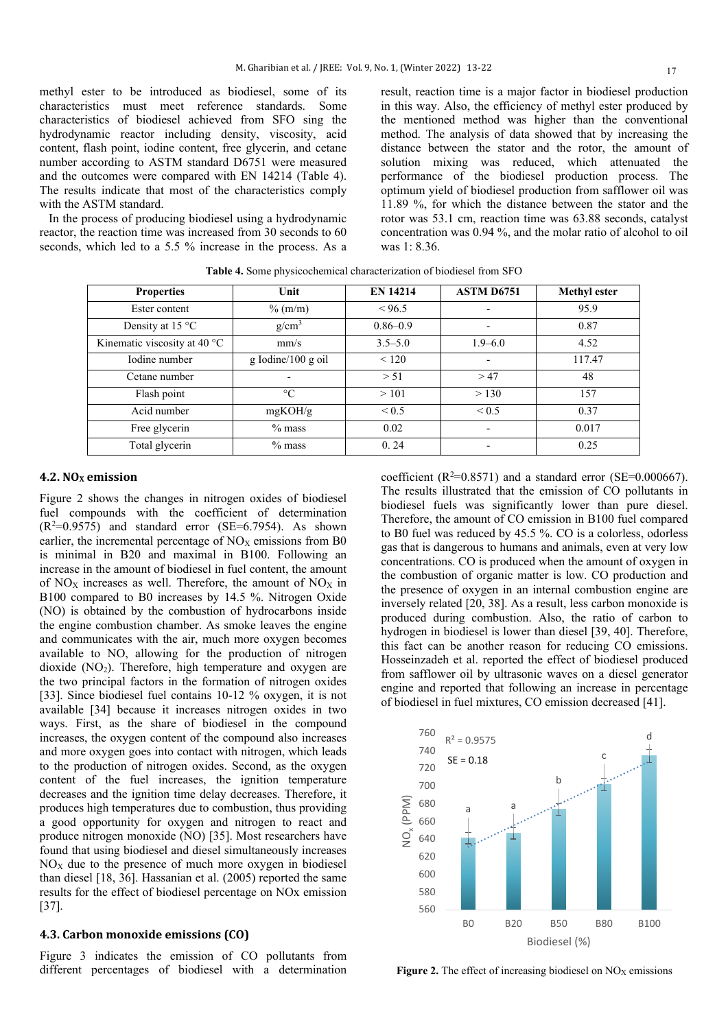methyl ester to be introduced as biodiesel, some of its characteristics must meet reference standards. Some characteristics of biodiesel achieved from SFO sing the hydrodynamic reactor including density, viscosity, acid content, flash point, iodine content, free glycerin, and cetane number according to ASTM standard D6751 were measured and the outcomes were compared with EN 14214 (Table 4). The results indicate that most of the characteristics comply with the ASTM standard.

 In the process of producing biodiesel using a hydrodynamic reactor, the reaction time was increased from 30 seconds to 60 seconds, which led to a 5.5 % increase in the process. As a result, reaction time is a major factor in biodiesel production in this way. Also, the efficiency of methyl ester produced by the mentioned method was higher than the conventional method. The analysis of data showed that by increasing the distance between the stator and the rotor, the amount of solution mixing was reduced, which attenuated the performance of the biodiesel production process. The optimum yield of biodiesel production from safflower oil was 11.89 %, for which the distance between the stator and the rotor was 53.1 cm, reaction time was 63.88 seconds, catalyst concentration was 0.94 %, and the molar ratio of alcohol to oil was 1: 8.36.

| <b>Properties</b>            | Unit               | <b>EN 14214</b> | <b>ASTM D6751</b>        | <b>Methyl ester</b> |
|------------------------------|--------------------|-----------------|--------------------------|---------------------|
| Ester content                | $\%$ (m/m)         | < 96.5          |                          | 95.9                |
| Density at 15 °C             | g/cm <sup>3</sup>  | $0.86 - 0.9$    | $\overline{\phantom{a}}$ | 0.87                |
| Kinematic viscosity at 40 °C | mm/s               | $3.5 - 5.0$     | $1.9 - 6.0$              | 4.52                |
| Iodine number                | g Iodine/100 g oil | < 120           |                          | 117.47              |
| Cetane number                |                    | > 51            | >47                      | 48                  |
| Flash point                  | $\rm ^{\circ}C$    | >101            | > 130                    | 157                 |
| Acid number                  | mgKOH/g            | ${}_{0.5}$      | ${}_{0.5}$               | 0.37                |
| Free glycerin                | $%$ mass           | 0.02            |                          | 0.017               |
| Total glycerin               | $%$ mass           | 0.24            |                          | 0.25                |

**Table 4.** Some physicochemical characterization of biodiesel from SFO

## **4.2. NOX emission**

Figure 2 shows the changes in nitrogen oxides of biodiesel fuel compounds with the coefficient of determination  $(R<sup>2</sup>=0.9575)$  and standard error (SE=6.7954). As shown earlier, the incremental percentage of  $NO<sub>X</sub>$  emissions from B0 is minimal in B20 and maximal in B100. Following an increase in the amount of biodiesel in fuel content, the amount of  $NO<sub>x</sub>$  increases as well. Therefore, the amount of  $NO<sub>x</sub>$  in B100 compared to B0 increases by 14.5 %. Nitrogen Oxide (NO) is obtained by the combustion of hydrocarbons inside the engine combustion chamber. As smoke leaves the engine and communicates with the air, much more oxygen becomes available to NO, allowing for the production of nitrogen dioxide (NO<sub>2</sub>). Therefore, high temperature and oxygen are the two principal factors in the formation of nitrogen oxides [33]. Since biodiesel fuel contains 10-12 % oxygen, it is not available [34] because it increases nitrogen oxides in two ways. First, as the share of biodiesel in the compound increases, the oxygen content of the compound also increases and more oxygen goes into contact with nitrogen, which leads to the production of nitrogen oxides. Second, as the oxygen content of the fuel increases, the ignition temperature decreases and the ignition time delay decreases. Therefore, it produces high temperatures due to combustion, thus providing a good opportunity for oxygen and nitrogen to react and produce nitrogen monoxide (NO) [35]. Most researchers have found that using biodiesel and diesel simultaneously increases  $NO<sub>x</sub>$  due to the presence of much more oxygen in biodiesel than diesel [18, 36]. Hassanian et al. (2005) reported the same results for the effect of biodiesel percentage on NOx emission [37].

## **4.3. Carbon monoxide emissions (CO)**

Figure 3 indicates the emission of CO pollutants from different percentages of biodiesel with a determination

coefficient ( $R^2$ =0.8571) and a standard error (SE=0.000667). The results illustrated that the emission of CO pollutants in biodiesel fuels was significantly lower than pure diesel. Therefore, the amount of CO emission in B100 fuel compared to B0 fuel was reduced by 45.5 %. CO is a colorless, odorless gas that is dangerous to humans and animals, even at very low concentrations. CO is produced when the amount of oxygen in the combustion of organic matter is low. CO production and the presence of oxygen in an internal combustion engine are inversely related [20, 38]. As a result, less carbon monoxide is produced during combustion. Also, the ratio of carbon to hydrogen in biodiesel is lower than diesel [39, 40]. Therefore, this fact can be another reason for reducing CO emissions. Hosseinzadeh et al. reported the effect of biodiesel produced from safflower oil by ultrasonic waves on a diesel generator engine and reported that following an increase in percentage of biodiesel in fuel mixtures, CO emission decreased [41].



**Figure 2.** The effect of increasing biodiesel on  $NO<sub>X</sub>$  emissions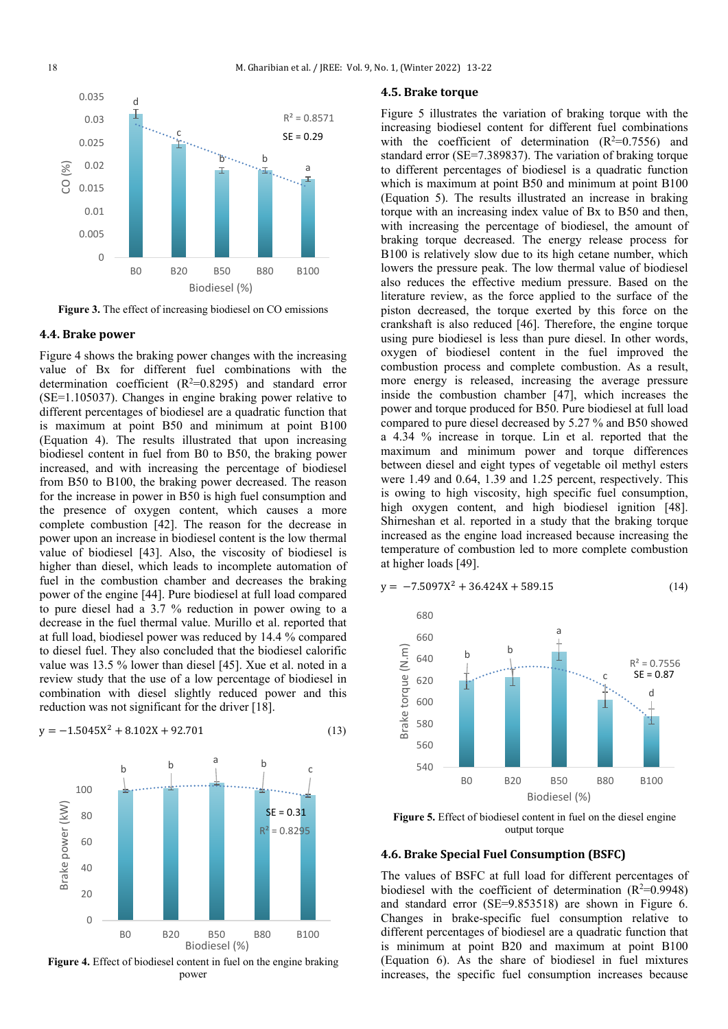

**Figure 3.** The effect of increasing biodiesel on CO emissions

#### **4.4. Brake power**

Figure 4 shows the braking power changes with the increasing value of Bx for different fuel combinations with the determination coefficient  $(R^2=0.8295)$  and standard error (SE=1.105037). Changes in engine braking power relative to different percentages of biodiesel are a quadratic function that is maximum at point B50 and minimum at point B100 (Equation 4). The results illustrated that upon increasing biodiesel content in fuel from B0 to B50, the braking power increased, and with increasing the percentage of biodiesel from B50 to B100, the braking power decreased. The reason for the increase in power in B50 is high fuel consumption and the presence of oxygen content, which causes a more complete combustion [42]. The reason for the decrease in power upon an increase in biodiesel content is the low thermal value of biodiesel [43]. Also, the viscosity of biodiesel is higher than diesel, which leads to incomplete automation of fuel in the combustion chamber and decreases the braking power of the engine [44]. Pure biodiesel at full load compared to pure diesel had a 3.7 % reduction in power owing to a decrease in the fuel thermal value. Murillo et al. reported that at full load, biodiesel power was reduced by 14.4 % compared to diesel fuel. They also concluded that the biodiesel calorific value was 13.5 % lower than diesel [45]. Xue et al. noted in a review study that the use of a low percentage of biodiesel in combination with diesel slightly reduced power and this reduction was not significant for the driver [18].





## **4.5. Brake torque**

Figure 5 illustrates the variation of braking torque with the increasing biodiesel content for different fuel combinations with the coefficient of determination  $(R^2=0.7556)$  and standard error (SE=7.389837). The variation of braking torque to different percentages of biodiesel is a quadratic function which is maximum at point B50 and minimum at point B100 (Equation 5). The results illustrated an increase in braking torque with an increasing index value of Bx to B50 and then, with increasing the percentage of biodiesel, the amount of braking torque decreased. The energy release process for B100 is relatively slow due to its high cetane number, which lowers the pressure peak. The low thermal value of biodiesel also reduces the effective medium pressure. Based on the literature review, as the force applied to the surface of the piston decreased, the torque exerted by this force on the crankshaft is also reduced [46]. Therefore, the engine torque using pure biodiesel is less than pure diesel. In other words, oxygen of biodiesel content in the fuel improved the combustion process and complete combustion. As a result, more energy is released, increasing the average pressure inside the combustion chamber [47], which increases the power and torque produced for B50. Pure biodiesel at full load compared to pure diesel decreased by 5.27 % and B50 showed a 4.34 % increase in torque. Lin et al. reported that the maximum and minimum power and torque differences between diesel and eight types of vegetable oil methyl esters were 1.49 and 0.64, 1.39 and 1.25 percent, respectively. This is owing to high viscosity, high specific fuel consumption, high oxygen content, and high biodiesel ignition [48]. Shirneshan et al. reported in a study that the braking torque increased as the engine load increased because increasing the temperature of combustion led to more complete combustion at higher loads [49].

$$
y = -7.5097X^2 + 36.424X + 589.15\tag{14}
$$



**Figure 5.** Effect of biodiesel content in fuel on the diesel engine output torque

## **4.6. Brake Special Fuel Consumption (BSFC)**

The values of BSFC at full load for different percentages of biodiesel with the coefficient of determination  $(R^2=0.9948)$ and standard error (SE=9.853518) are shown in Figure 6. Changes in brake-specific fuel consumption relative to different percentages of biodiesel are a quadratic function that is minimum at point B20 and maximum at point B100 (Equation 6). As the share of biodiesel in fuel mixtures increases, the specific fuel consumption increases because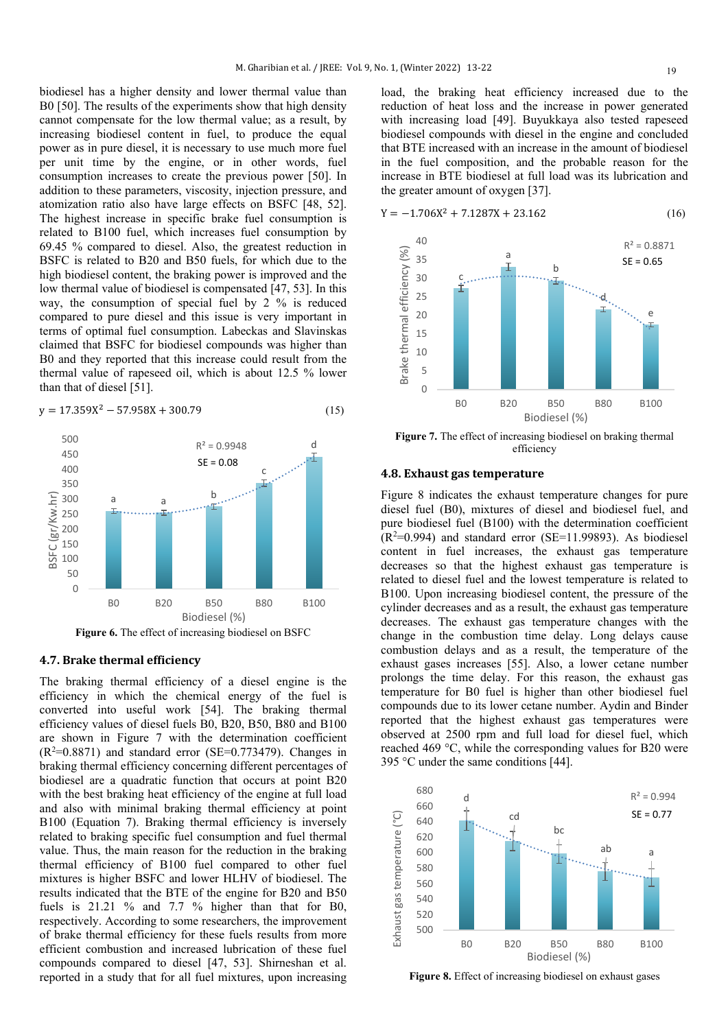biodiesel has a higher density and lower thermal value than B0 [50]. The results of the experiments show that high density cannot compensate for the low thermal value; as a result, by increasing biodiesel content in fuel, to produce the equal power as in pure diesel, it is necessary to use much more fuel per unit time by the engine, or in other words, fuel consumption increases to create the previous power [50]. In addition to these parameters, viscosity, injection pressure, and atomization ratio also have large effects on BSFC [48, 52]. The highest increase in specific brake fuel consumption is related to B100 fuel, which increases fuel consumption by 69.45 % compared to diesel. Also, the greatest reduction in BSFC is related to B20 and B50 fuels, for which due to the high biodiesel content, the braking power is improved and the low thermal value of biodiesel is compensated [47, 53]. In this way, the consumption of special fuel by 2 % is reduced compared to pure diesel and this issue is very important in terms of optimal fuel consumption. Labeckas and Slavinskas claimed that BSFC for biodiesel compounds was higher than B0 and they reported that this increase could result from the thermal value of rapeseed oil, which is about 12.5 % lower than that of diesel [51].

$$
y = 17.359X^2 - 57.958X + 300.79\tag{15}
$$



## **4.7. Brake thermal efficiency**

The braking thermal efficiency of a diesel engine is the efficiency in which the chemical energy of the fuel is converted into useful work [54]. The braking thermal efficiency values of diesel fuels B0, B20, B50, B80 and B100 are shown in Figure 7 with the determination coefficient  $(R<sup>2</sup>=0.8871)$  and standard error (SE=0.773479). Changes in braking thermal efficiency concerning different percentages of biodiesel are a quadratic function that occurs at point B20 with the best braking heat efficiency of the engine at full load and also with minimal braking thermal efficiency at point B100 (Equation 7). Braking thermal efficiency is inversely related to braking specific fuel consumption and fuel thermal value. Thus, the main reason for the reduction in the braking thermal efficiency of B100 fuel compared to other fuel mixtures is higher BSFC and lower HLHV of biodiesel. The results indicated that the BTE of the engine for B20 and B50 fuels is 21.21 % and 7.7 % higher than that for B0, respectively. According to some researchers, the improvement of brake thermal efficiency for these fuels results from more efficient combustion and increased lubrication of these fuel compounds compared to diesel [47, 53]. Shirneshan et al. reported in a study that for all fuel mixtures, upon increasing

load, the braking heat efficiency increased due to the reduction of heat loss and the increase in power generated with increasing load [49]. Buyukkaya also tested rapeseed biodiesel compounds with diesel in the engine and concluded that BTE increased with an increase in the amount of biodiesel in the fuel composition, and the probable reason for the increase in BTE biodiesel at full load was its lubrication and the greater amount of oxygen [37].





**Figure 7.** The effect of increasing biodiesel on braking thermal efficiency

## **4.8. Exhaust gas temperature**

Figure 8 indicates the exhaust temperature changes for pure diesel fuel (B0), mixtures of diesel and biodiesel fuel, and pure biodiesel fuel (B100) with the determination coefficient  $(R<sup>2</sup>=0.994)$  and standard error (SE=11.99893). As biodiesel content in fuel increases, the exhaust gas temperature decreases so that the highest exhaust gas temperature is related to diesel fuel and the lowest temperature is related to B100. Upon increasing biodiesel content, the pressure of the cylinder decreases and as a result, the exhaust gas temperature decreases. The exhaust gas temperature changes with the change in the combustion time delay. Long delays cause combustion delays and as a result, the temperature of the exhaust gases increases [55]. Also, a lower cetane number prolongs the time delay. For this reason, the exhaust gas temperature for B0 fuel is higher than other biodiesel fuel compounds due to its lower cetane number. Aydin and Binder reported that the highest exhaust gas temperatures were observed at 2500 rpm and full load for diesel fuel, which reached 469 °C, while the corresponding values for B20 were 395 °C under the same conditions [44].



**Figure 8.** Effect of increasing biodiesel on exhaust gases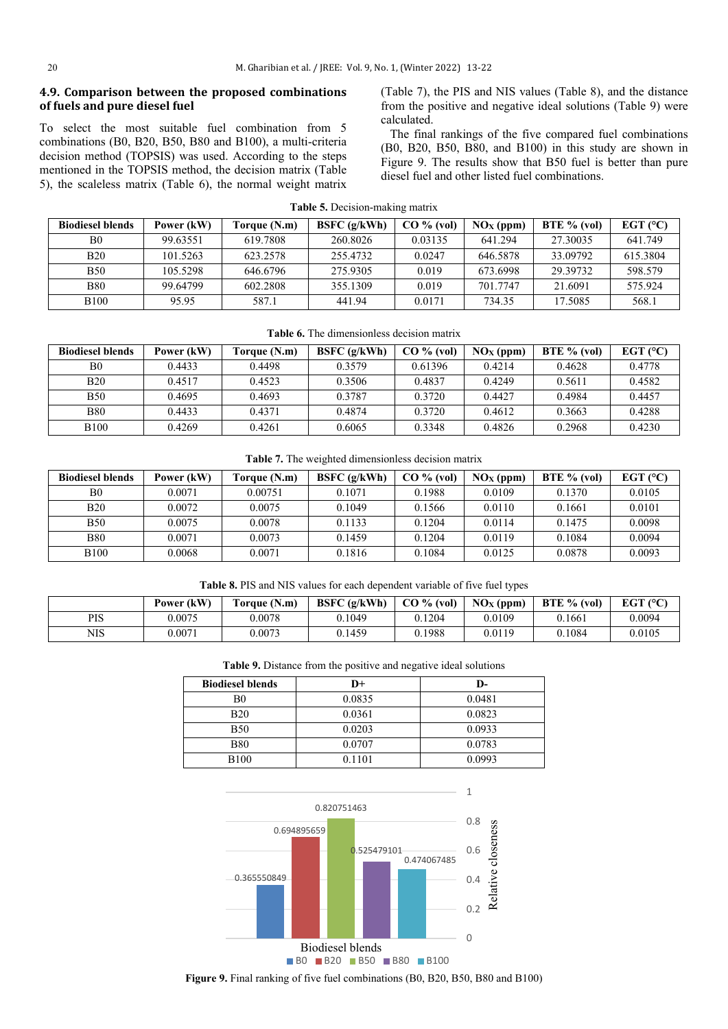## **4.9. Comparison between the proposed combinations of fuels and pure diesel fuel**

To select the most suitable fuel combination from 5 combinations (B0, B20, B50, B80 and B100), a multi-criteria decision method (TOPSIS) was used. According to the steps mentioned in the TOPSIS method, the decision matrix (Table 5), the scaleless matrix (Table 6), the normal weight matrix (Table 7), the PIS and NIS values (Table 8), and the distance from the positive and negative ideal solutions (Table 9) were calculated.

 The final rankings of the five compared fuel combinations (B0, B20, B50, B80, and B100) in this study are shown in Figure 9. The results show that B50 fuel is better than pure diesel fuel and other listed fuel combinations.

|  | <b>Table 5.</b> Decision-making matrix |  |
|--|----------------------------------------|--|
|  |                                        |  |

| <b>Biodiesel blends</b> | Power (kW) | Torque (N.m) | BSFC $(g/kWh)$ | $CO\%$ (vol) | $\overline{\text{NOx (ppm)}}$ | $BTE \%$ (vol) | EGT $(°C)$ |
|-------------------------|------------|--------------|----------------|--------------|-------------------------------|----------------|------------|
| B0                      | 99.63551   | 619.7808     | 260.8026       | 0.03135      | 641.294                       | 27.30035       | 641.749    |
| <b>B20</b>              | 101.5263   | 623.2578     | 255,4732       | 0.0247       | 646.5878                      | 33.09792       | 615.3804   |
| <b>B50</b>              | 105.5298   | 646.6796     | 275.9305       | 0.019        | 673.6998                      | 29.39732       | 598.579    |
| <b>B80</b>              | 99 64799   | 602.2808     | 355.1309       | 0.019        | 701.7747                      | 21.6091        | 575.924    |
| <b>B100</b>             | 95.95      | 587.1        | 441.94         | 0.0171       | 734.35                        | 17.5085        | 568.1      |

| <b>Biodiesel blends</b> | Power (kW) | Torque (N.m) | BSFC $(g/kWh)$ | CO % (vol) | $NOx$ (ppm) | BTE $%$ (vol) | EGT $(°C)$ |
|-------------------------|------------|--------------|----------------|------------|-------------|---------------|------------|
| B <sub>0</sub>          | 0.4433     | 0.4498       | 0.3579         | 0.61396    | 0.4214      | 0.4628        | 0.4778     |
| <b>B20</b>              | 0.4517     | 0.4523       | 0.3506         | 0.4837     | 0.4249      | 0.5611        | 0.4582     |
| <b>B50</b>              | 0.4695     | 0.4693       | 0.3787         | 0.3720     | 0.4427      | 0.4984        | 0.4457     |
| B80                     | 0.4433     | 0.4371       | 0.4874         | 0.3720     | 0.4612      | 0.3663        | 0.4288     |
| B <sub>100</sub>        | 0.4269     | 0.4261       | 0.6065         | 0.3348     | 0.4826      | 0.2968        | 0.4230     |

#### **Table 7.** The weighted dimensionless decision matrix

| <b>Biodiesel blends</b> | Power (kW) | Torque (N.m) | BSPC(g/kWh) | CO % (vol) | $\overline{\text{NOx (ppm)}}$ | $BTE \%$ (vol) | EGT $(°C)$ |
|-------------------------|------------|--------------|-------------|------------|-------------------------------|----------------|------------|
| B <sub>0</sub>          | 0.0071     | 0.00751      | 0.1071      | 0.1988     | 0.0109                        | 0.1370         | 0.0105     |
| <b>B20</b>              | 0.0072     | 0.0075       | 0.1049      | 0.1566     | 0.0110                        | 0.1661         | 0.0101     |
| <b>B50</b>              | 0.0075     | 0.0078       | 0.1133      | 0.1204     | 0.0114                        | 0.1475         | 0.0098     |
| <b>B80</b>              | 0.0071     | 0.0073       | 0.1459      | 0.1204     | 0.0119                        | 0.1084         | 0.0094     |
| <b>B100</b>             | 0.0068     | 0.0071       | 0.1816      | 0.1084     | 0.0125                        | 0.0878         | 0.0093     |

#### **Table 8.** PIS and NIS values for each dependent variable of five fuel types

|     | Power (kW) | Toraue (N.m) | BSPC(g/kWh) | $CO\%$ (vol) | $NOX$ (ppm) | BTE % (vol) | EGT $(°C)$ |
|-----|------------|--------------|-------------|--------------|-------------|-------------|------------|
| PIS | 0.0075     | 0.0078       | 0.1049      | 0.1204       | 0.0109      | 0.1661      | 0.0094     |
| NIS | 0.0071     | 0.0073       | 0.1459      | 0.1988       | 0.0119      | 0.1084      | 0.0105     |

| <b>Biodiesel blends</b> | D+     | D-     |
|-------------------------|--------|--------|
| B0                      | 0.0835 | 0.0481 |
| <b>B20</b>              | 0.0361 | 0.0823 |
| <b>B50</b>              | 0.0203 | 0.0933 |
| <b>B80</b>              | 0.0707 | 0.0783 |
| <b>B100</b>             | 0.1101 | 0.0993 |



**Figure 9.** Final ranking of five fuel combinations (B0, B20, B50, B80 and B100)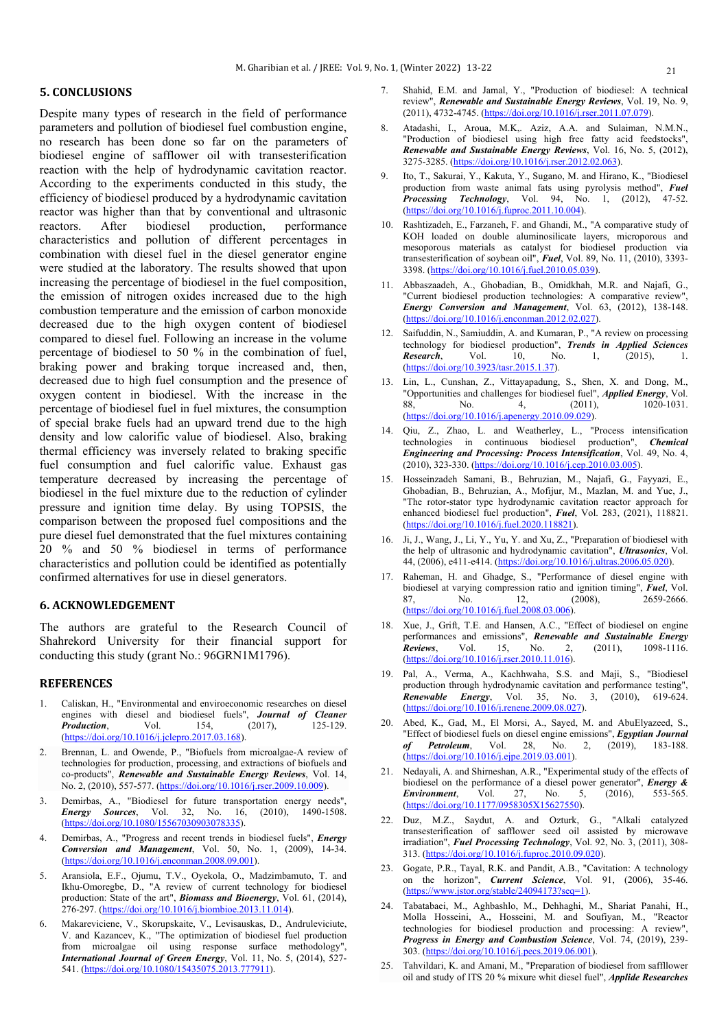## **5. CONCLUSIONS**

Despite many types of research in the field of performance parameters and pollution of biodiesel fuel combustion engine, no research has been done so far on the parameters of biodiesel engine of safflower oil with transesterification reaction with the help of hydrodynamic cavitation reactor. According to the experiments conducted in this study, the efficiency of biodiesel produced by a hydrodynamic cavitation reactor was higher than that by conventional and ultrasonic reactors. After biodiesel production, performance characteristics and pollution of different percentages in combination with diesel fuel in the diesel generator engine were studied at the laboratory. The results showed that upon increasing the percentage of biodiesel in the fuel composition, the emission of nitrogen oxides increased due to the high combustion temperature and the emission of carbon monoxide decreased due to the high oxygen content of biodiesel compared to diesel fuel. Following an increase in the volume percentage of biodiesel to 50 % in the combination of fuel, braking power and braking torque increased and, then, decreased due to high fuel consumption and the presence of oxygen content in biodiesel. With the increase in the percentage of biodiesel fuel in fuel mixtures, the consumption of special brake fuels had an upward trend due to the high density and low calorific value of biodiesel. Also, braking thermal efficiency was inversely related to braking specific fuel consumption and fuel calorific value. Exhaust gas temperature decreased by increasing the percentage of biodiesel in the fuel mixture due to the reduction of cylinder pressure and ignition time delay. By using TOPSIS, the comparison between the proposed fuel compositions and the pure diesel fuel demonstrated that the fuel mixtures containing 20 % and 50 % biodiesel in terms of performance characteristics and pollution could be identified as potentially confirmed alternatives for use in diesel generators.

## **6. ACKNOWLEDGEMENT**

The authors are grateful to the Research Council of Shahrekord University for their financial support for conducting this study (grant No.: 96GRN1M1796).

#### **REFERENCES**

- 1. Caliskan, H., "Environmental and enviroeconomic researches on diesel engines with diesel and biodiesel fuels", *Journal of Cleaner Production*, Vol. 154, (2017), 125-129. *Production*, [\(https://doi.org/10.1016/j.jclepro.2017.03.168\)](https://doi.org/10.1016/j.jclepro.2017.03.168).
- 2. Brennan, L. and Owende, P., "Biofuels from microalgae-A review of technologies for production, processing, and extractions of biofuels and co-products", *Renewable and Sustainable Energy Reviews*, Vol. 14, No. 2, (2010), 557-577. [\(https://doi.org/10.1016/j.rser.2009.10.009\)](https://doi.org/10.1016/j.rser.2009.10.009).
- 3. Demirbas, A., "Biodiesel for future transportation energy needs", *Energy Sources*, Vol. 32, No. 16, (2010), 1490-1508. [\(https://doi.org/10.1080/15567030903078335\)](https://doi.org/10.1080/15567030903078335).
- 4. Demirbas, A., "Progress and recent trends in biodiesel fuels", *Energy Conversion and Management*, Vol. 50, No. 1, (2009), 14-34. [\(https://doi.org/10.1016/j.enconman.2008.09.001\)](https://doi.org/10.1016/j.enconman.2008.09.001).
- 5. Aransiola, E.F., Ojumu, T.V., Oyekola, O., Madzimbamuto, T. and Ikhu-Omoregbe, D., "A review of current technology for biodiesel production: State of the art", *Biomass and Bioenergy*, Vol. 61, (2014), 276-297. [\(https://doi.org/10.1016/j.biombioe.2013.11.014\)](https://doi.org/10.1016/j.biombioe.2013.11.014).
- 6. Makareviciene, V., Skorupskaite, V., Levisauskas, D., Andruleviciute, V. and Kazancev, K., "The optimization of biodiesel fuel production from microalgae oil using response surface methodology", *International Journal of Green Energy*, Vol. 11, No. 5, (2014), 527- 541. [\(https://doi.org/10.1080/15435075.2013.777911\)](https://doi.org/10.1080/15435075.2013.777911).
- 7. Shahid, E.M. and Jamal, Y., "Production of biodiesel: A technical review", *Renewable and Sustainable Energy Reviews*, Vol. 19, No. 9, (2011), 4732-4745. [\(https://doi.org/10.1016/j.rser.2011.07.079\)](https://doi.org/10.1016/j.rser.2011.07.079).
- 8. Atadashi, I., Aroua, M.K,. Aziz, A.A. and [Sulaiman,](https://www.sciencedirect.com/science/article/abs/pii/S1364032112001578#!) N.M.N., "Production of biodiesel using high free fatty acid feedstocks", *Renewable and Sustainable Energy Reviews*, Vol. 16, No. 5, (2012), 3275-3285. [\(https://doi.org/10.1016/j.rser.2012.02.063\)](https://doi.org/10.1016/j.rser.2012.02.063).
- 9. Ito, T., Sakurai, Y., Kakuta, Y., [Sugano,](https://www.sciencedirect.com/science/article/pii/S0378382011003511#!) M. and [Hirano,](https://www.sciencedirect.com/science/article/pii/S0378382011003511#!) K., "Biodiesel production from waste animal fats using pyrolysis method", *Fuel Processing Technology*, Vol. 94, No. 1, (2012), 47-52. [\(https://doi.org/10.1016/j.fuproc.2011.10.004\)](https://doi.org/10.1016/j.fuproc.2011.10.004).
- 10. Rashtizadeh, E., Farzaneh, F. and Ghandi, M., "A comparative study of KOH loaded on double aluminosilicate layers, microporous and mesoporous materials as catalyst for biodiesel production via transesterification of soybean oil", *Fuel*, Vol. 89, No. 11, (2010), 3393- 3398. [\(https://doi.org/10.1016/j.fuel.2010.05.039\)](https://doi.org/10.1016/j.fuel.2010.05.039).
- 11. Abbaszaadeh, A., Ghobadian, B., Omidkhah, M.R. and [Najafi,](https://www.sciencedirect.com/science/article/abs/pii/S0196890412001185#!) G., "Current biodiesel production technologies: A comparative review", *Energy Conversion and Management*, Vol. 63, (2012), 138-148. [\(https://doi.org/10.1016/j.enconman.2012.02.027\)](https://doi.org/10.1016/j.enconman.2012.02.027).
- 12. Saifuddin, N., Samiuddin, A. and Kumaran, P., "A review on processing technology for biodiesel production", *Trends in Applied Sciences Research*, Vol. 10, No. 1, (2015), 1. [\(https://doi.org/10.3923/tasr.2015.1.37\)](https://dx.doi.org/10.3923/tasr.2015.1.37).
- 13. Lin, L., Cunshan, Z., Vittayapadung, S., [Shen,](https://www.sciencedirect.com/science/article/abs/pii/S0306261910003946#!) X. and [Dong,](https://www.sciencedirect.com/science/article/abs/pii/S0306261910003946#!) M., "Opportunities and challenges for biodiesel fuel", *Applied Energy*, Vol. 88, No. 4, (2011), 1020-1031. [\(https://doi.org/10.1016/j.apenergy.2010.09.029\)](https://doi.org/10.1016/j.apenergy.2010.09.029).
- 14. Qiu, Z., Zhao, L. and Weatherley, L., "Process intensification technologies in continuous biodiesel production", *Chemical Engineering and Processing: Process Intensification*, Vol. 49, No. 4, (2010), 323-330. [\(https://doi.org/10.1016/j.cep.2010.03.005\)](https://doi.org/10.1016/j.cep.2010.03.005).
- 15. Hosseinzadeh Samani, B., Behruzian, M., Najafi, G., [Fayyazi,](https://www.sciencedirect.com/science/article/pii/S0016236120318172#!) E., [Ghobadian,](https://www.sciencedirect.com/science/article/pii/S0016236120318172#!) B., Behruzian, A., [Mofijur,](https://www.sciencedirect.com/science/article/pii/S0016236120318172#!) M., [Mazlan,](https://www.sciencedirect.com/science/article/pii/S0016236120318172#!) M. and [Yue,](https://www.sciencedirect.com/science/article/pii/S0016236120318172#!) J., "The rotor-stator type hydrodynamic cavitation reactor approach for enhanced biodiesel fuel production", *Fuel*, Vol. 283, (2021), 118821. [\(https://doi.org/10.1016/j.fuel.2020.118821\)](https://doi.org/10.1016/j.fuel.2020.118821).
- 16. Ji, J., Wang, J., Li, Y., [Yu,](https://www.sciencedirect.com/science/article/abs/pii/S0041624X06000503#!) Y. and [Xu,](https://www.sciencedirect.com/science/article/abs/pii/S0041624X06000503#!) Z., "Preparation of biodiesel with the help of ultrasonic and hydrodynamic cavitation", *Ultrasonics*, Vol. 44, (2006), e411-e414. [\(https://doi.org/10.1016/j.ultras.2006.05.020\)](https://doi.org/10.1016/j.ultras.2006.05.020).
- 17. Raheman, H. and Ghadge, S., "Performance of diesel engine with biodiesel at varying compression ratio and ignition timing", *Fuel*, Vol. 87, No. 12, (2008), 2659-2666. [\(https://doi.org/10.1016/j.fuel.2008.03.006\)](https://doi.org/10.1016/j.fuel.2008.03.006).
- 18. Xue, J., Grift, T.E. and Hansen, A.C., "Effect of biodiesel on engine performances and emissions", *Renewable and Sustainable Energy Reviews*, Vol. 15, No. 2, (2011), 1098-1116. [\(https://doi.org/10.1016/j.rser.2010.11.016\)](https://doi.org/10.1016/j.rser.2010.11.016).
- 19. Pal, A., [Verma,](https://www.sciencedirect.com/science/article/abs/pii/S0960148109003498#!) A., [Kachhwaha,](https://www.sciencedirect.com/science/article/abs/pii/S0960148109003498#!) S.S. and [Maji,](https://www.sciencedirect.com/science/article/abs/pii/S0960148109003498#!) S., "Biodiesel production through hydrodynamic cavitation and performance testing", *Renewable Energy*, Vol. 35, No. 3, (2010), 619-624. [\(https://doi.org/10.1016/j.renene.2009.08.027\)](https://doi.org/10.1016/j.renene.2009.08.027).
- 20. Abed, K., Gad, M., El Morsi, A., [Sayed,](https://www.sciencedirect.com/science/article/pii/S1110062119300224#!) M. and [AbuElyazeed,](https://www.sciencedirect.com/science/article/pii/S1110062119300224#!) S., "Effect of biodiesel fuels on diesel engine emissions", *Egyptian Journal of Petroleum*, Vol. 28, No. 2, (2019), 183-188. [\(https://doi.org/10.1016/j.ejpe.2019.03.001\)](https://doi.org/10.1016/j.ejpe.2019.03.001).
- 21. Nedayali, A. and Shirneshan, A.R., "Experimental study of the effects of biodiesel on the performance of a diesel power generator", *Energy & Friedmannent* Vol. 27. No. 5, (2016), 553-565. *Environment*, Vol. 27, No. 5, (2016), 553-565. [\(https://doi.org/10.1177/0958305X15627550\)](https://doi.org/10.1177/0958305X15627550).
- 22. Duz, M.Z., Saydut, A. and Ozturk, G., "Alkali catalyzed transesterification of safflower seed oil assisted by microwave irradiation", *Fuel Processing Technology*, Vol. 92, No. 3, (2011), 308- 313. [\(https://doi.org/10.1016/j.fuproc.2010.09.020\)](https://doi.org/10.1016/j.fuproc.2010.09.020).
- 23. Gogate, P.R., Tayal, R.K. and Pandit, A.B., "Cavitation: A technology on the horizon", *Current Science*, Vol. 91, (2006), 35-46. (<https://www.jstor.org/stable/24094173?seq=1>).
- 24. Tabatabaei, M., Aghbashlo, M., Dehhaghi, M., [Shariat Panahi,](https://www.sciencedirect.com/science/article/abs/pii/S0360128519300206#!) H., [Molla Hosseini,](https://www.sciencedirect.com/science/article/abs/pii/S0360128519300206#!) A., [Hosseini,](https://www.sciencedirect.com/science/article/abs/pii/S0360128519300206#!) M. and [Soufiyan,](https://www.sciencedirect.com/science/article/abs/pii/S0360128519300206#!) M., "Reactor technologies for biodiesel production and processing: A review", *Progress in Energy and Combustion Science*, Vol. 74, (2019), 239- 303. [\(https://doi.org/10.1016/j.pecs.2019.06.001\).](https://doi.org/10.1016/j.pecs.2019.06.001)
- 25. Tahvildari, K. and Amani, M., "Preparation of biodiesel from saffllower oil and study of ITS 20 % mixure whit diesel fuel", *Applide Researches*